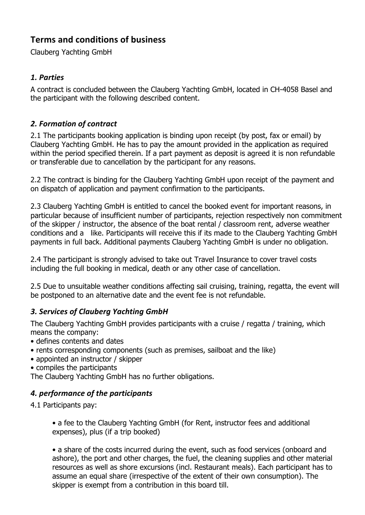# **Terms and conditions of business**

Clauberg Yachting GmbH

#### *1. Parties*

A contract is concluded between the Clauberg Yachting GmbH, located in CH-4058 Basel and the participant with the following described content.

## *2. Formation of contract*

2.1 The participants booking application is binding upon receipt (by post, fax or email) by Clauberg Yachting GmbH. He has to pay the amount provided in the application as required within the period specified therein. If a part payment as deposit is agreed it is non refundable or transferable due to cancellation by the participant for any reasons.

2.2 The contract is binding for the Clauberg Yachting GmbH upon receipt of the payment and on dispatch of application and payment confirmation to the participants.

2.3 Clauberg Yachting GmbH is entitled to cancel the booked event for important reasons, in particular because of insufficient number of participants, rejection respectively non commitment of the skipper / instructor, the absence of the boat rental / classroom rent, adverse weather conditions and a like. Participants will receive this if its made to the Clauberg Yachting GmbH payments in full back. Additional payments Clauberg Yachting GmbH is under no obligation.

2.4 The participant is strongly advised to take out Travel Insurance to cover travel costs including the full booking in medical, death or any other case of cancellation.

2.5 Due to unsuitable weather conditions affecting sail cruising, training, regatta, the event will be postponed to an alternative date and the event fee is not refundable.

#### *3. Services of Clauberg Yachting GmbH*

The Clauberg Yachting GmbH provides participants with a cruise / regatta / training, which means the company:

- defines contents and dates
- rents corresponding components (such as premises, sailboat and the like)
- appointed an instructor / skipper
- compiles the participants

The Clauberg Yachting GmbH has no further obligations.

#### *4. performance of the participants*

4.1 Participants pay:

• a fee to the Clauberg Yachting GmbH (for Rent, instructor fees and additional expenses), plus (if a trip booked)

• a share of the costs incurred during the event, such as food services (onboard and ashore), the port and other charges, the fuel, the cleaning supplies and other material resources as well as shore excursions (incl. Restaurant meals). Each participant has to assume an equal share (irrespective of the extent of their own consumption). The skipper is exempt from a contribution in this board till.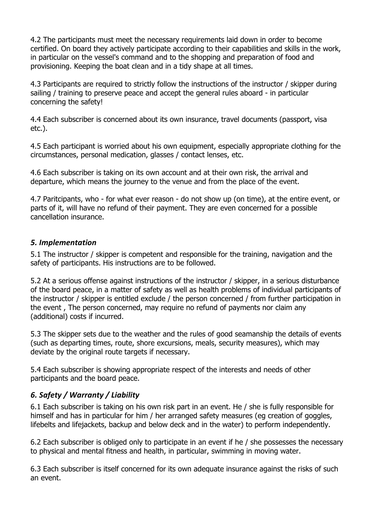4.2 The participants must meet the necessary requirements laid down in order to become certified. On board they actively participate according to their capabilities and skills in the work, in particular on the vessel's command and to the shopping and preparation of food and provisioning. Keeping the boat clean and in a tidy shape at all times.

4.3 Participants are required to strictly follow the instructions of the instructor / skipper during sailing / training to preserve peace and accept the general rules aboard - in particular concerning the safety!

4.4 Each subscriber is concerned about its own insurance, travel documents (passport, visa etc.).

4.5 Each participant is worried about his own equipment, especially appropriate clothing for the circumstances, personal medication, glasses / contact lenses, etc.

4.6 Each subscriber is taking on its own account and at their own risk, the arrival and departure, which means the journey to the venue and from the place of the event.

4.7 Paritcipants, who - for what ever reason - do not show up (on time), at the entire event, or parts of it, will have no refund of their payment. They are even concerned for a possible cancellation insurance.

#### *5. Implementation*

5.1 The instructor / skipper is competent and responsible for the training, navigation and the safety of participants. His instructions are to be followed.

5.2 At a serious offense against instructions of the instructor / skipper, in a serious disturbance of the board peace, in a matter of safety as well as health problems of individual participants of the instructor / skipper is entitled exclude / the person concerned / from further participation in the event , The person concerned, may require no refund of payments nor claim any (additional) costs if incurred.

5.3 The skipper sets due to the weather and the rules of good seamanship the details of events (such as departing times, route, shore excursions, meals, security measures), which may deviate by the original route targets if necessary.

5.4 Each subscriber is showing appropriate respect of the interests and needs of other participants and the board peace.

#### *6. Safety / Warranty / Liability*

6.1 Each subscriber is taking on his own risk part in an event. He / she is fully responsible for himself and has in particular for him / her arranged safety measures (eg creation of goggles, lifebelts and lifejackets, backup and below deck and in the water) to perform independently.

6.2 Each subscriber is obliged only to participate in an event if he / she possesses the necessary to physical and mental fitness and health, in particular, swimming in moving water.

6.3 Each subscriber is itself concerned for its own adequate insurance against the risks of such an event.